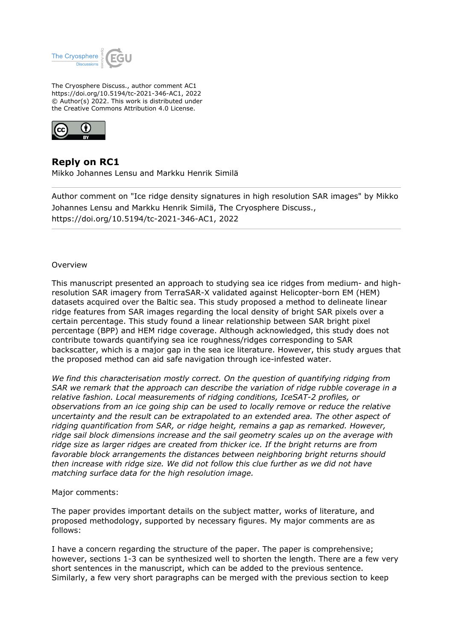

The Cryosphere Discuss., author comment AC1 https://doi.org/10.5194/tc-2021-346-AC1, 2022 © Author(s) 2022. This work is distributed under the Creative Commons Attribution 4.0 License.



**Reply on RC1** Mikko Johannes Lensu and Markku Henrik Similä

Author comment on "Ice ridge density signatures in high resolution SAR images" by Mikko Johannes Lensu and Markku Henrik Similä, The Cryosphere Discuss., https://doi.org/10.5194/tc-2021-346-AC1, 2022

## Overview

This manuscript presented an approach to studying sea ice ridges from medium- and highresolution SAR imagery from TerraSAR-X validated against Helicopter-born EM (HEM) datasets acquired over the Baltic sea. This study proposed a method to delineate linear ridge features from SAR images regarding the local density of bright SAR pixels over a certain percentage. This study found a linear relationship between SAR bright pixel percentage (BPP) and HEM ridge coverage. Although acknowledged, this study does not contribute towards quantifying sea ice roughness/ridges corresponding to SAR backscatter, which is a major gap in the sea ice literature. However, this study argues that the proposed method can aid safe navigation through ice-infested water.

*We find this characterisation mostly correct. On the question of quantifying ridging from SAR we remark that the approach can describe the variation of ridge rubble coverage in a relative fashion. Local measurements of ridging conditions, IceSAT-2 profiles, or observations from an ice going ship can be used to locally remove or reduce the relative uncertainty and the result can be extrapolated to an extended area. The other aspect of ridging quantification from SAR, or ridge height, remains a gap as remarked. However, ridge sail block dimensions increase and the sail geometry scales up on the average with ridge size as larger ridges are created from thicker ice. If the bright returns are from favorable block arrangements the distances between neighboring bright returns should then increase with ridge size. We did not follow this clue further as we did not have matching surface data for the high resolution image.*

## Major comments:

The paper provides important details on the subject matter, works of literature, and proposed methodology, supported by necessary figures. My major comments are as follows:

I have a concern regarding the structure of the paper. The paper is comprehensive; however, sections 1-3 can be synthesized well to shorten the length. There are a few very short sentences in the manuscript, which can be added to the previous sentence. Similarly, a few very short paragraphs can be merged with the previous section to keep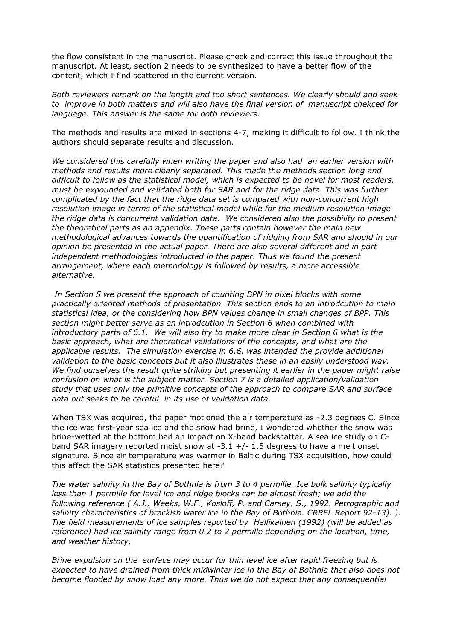the flow consistent in the manuscript. Please check and correct this issue throughout the manuscript. At least, section 2 needs to be synthesized to have a better flow of the content, which I find scattered in the current version.

*Both reviewers remark on the length and too short sentences. We clearly should and seek to improve in both matters and will also have the final version of manuscript chekced for language. This answer is the same for both reviewers.* 

The methods and results are mixed in sections 4-7, making it difficult to follow. I think the authors should separate results and discussion.

*We considered this carefully when writing the paper and also had an earlier version with methods and results more clearly separated. This made the methods section long and difficult to follow as the statistical model, which is expected to be novel for most readers, must be expounded and validated both for SAR and for the ridge data. This was further complicated by the fact that the ridge data set is compared with non-concurrent high resolution image in terms of the statistical model while for the medium resolution image the ridge data is concurrent validation data. We considered also the possibility to present the theoretical parts as an appendix. These parts contain however the main new methodological advances towards the quantification of ridging from SAR and should in our opinion be presented in the actual paper. There are also several different and in part independent methodologies introducted in the paper. Thus we found the present arrangement, where each methodology is followed by results, a more accessible alternative.*

 *In Section 5 we present the approach of counting BPN in pixel blocks with some practically oriented methods of presentation. This section ends to an introdcution to main statistical idea, or the considering how BPN values change in small changes of BPP. This section might better serve as an introdcution in Section 6 when combined with introductory parts of 6.1. We will also try to make more clear in Section 6 what is the basic approach, what are theoretical validations of the concepts, and what are the applicable results. The simulation exercise in 6.6. was intended the provide additional validation to the basic concepts but it also illustrates these in an easily understood way. We find ourselves the result quite striking but presenting it earlier in the paper might raise confusion on what is the subject matter. Section 7 is a detailed application/validation study that uses only the primitive concepts of the approach to compare SAR and surface data but seeks to be careful in its use of validation data.*

When TSX was acquired, the paper motioned the air temperature as -2.3 degrees C. Since the ice was first-year sea ice and the snow had brine, I wondered whether the snow was brine-wetted at the bottom had an impact on X-band backscatter. A sea ice study on Cband SAR imagery reported moist snow at  $-3.1 +/- 1.5$  degrees to have a melt onset signature. Since air temperature was warmer in Baltic during TSX acquisition, how could this affect the SAR statistics presented here?

*The water salinity in the Bay of Bothnia is from 3 to 4 permille. Ice bulk salinity typically less than 1 permille for level ice and ridge blocks can be almost fresh; we add the following reference ( A.J., Weeks, W.F., Kosloff, P. and Carsey, S., 1992. Petrographic and salinity characteristics of brackish water ice in the Bay of Bothnia. CRREL Report 92-13). ). The field measurements of ice samples reported by Hallikainen (1992) (will be added as reference) had ice salinity range from 0.2 to 2 permille depending on the location, time, and weather history.*

*Brine expulsion on the surface may occur for thin level ice after rapid freezing but is expected to have drained from thick midwinter ice in the Bay of Bothnia that also does not become flooded by snow load any more. Thus we do not expect that any consequential*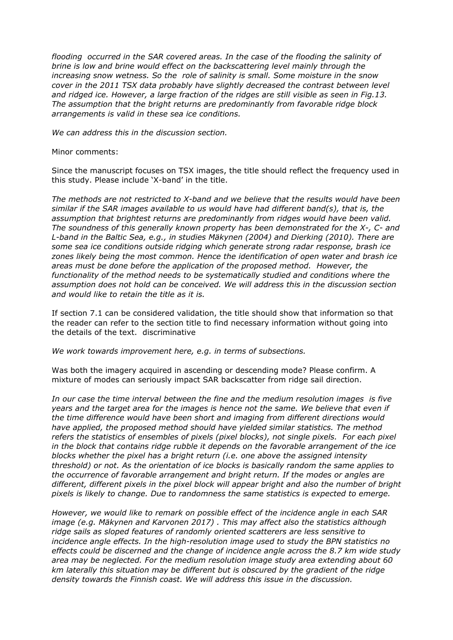*flooding occurred in the SAR covered areas. In the case of the flooding the salinity of brine is low and brine would effect on the backscattering level mainly through the increasing snow wetness. So the role of salinity is small. Some moisture in the snow cover in the 2011 TSX data probably have slightly decreased the contrast between level and ridged ice. However, a large fraction of the ridges are still visible as seen in Fig.13. The assumption that the bright returns are predominantly from favorable ridge block arrangements is valid in these sea ice conditions.*

*We can address this in the discussion section.*

Minor comments:

Since the manuscript focuses on TSX images, the title should reflect the frequency used in this study. Please include 'X-band' in the title.

*The methods are not restricted to X-band and we believe that the results would have been similar if the SAR images available to us would have had different band(s), that is, the assumption that brightest returns are predominantly from ridges would have been valid. The soundness of this generally known property has been demonstrated for the X-, C- and L-band in the Baltic Sea, e.g., in studies Mäkynen (2004) and Dierking (2010). There are some sea ice conditions outside ridging which generate strong radar response, brash ice zones likely being the most common. Hence the identification of open water and brash ice areas must be done before the application of the proposed method. However, the functionality of the method needs to be systematically studied and conditions where the assumption does not hold can be conceived. We will address this in the discussion section and would like to retain the title as it is.* 

If section 7.1 can be considered validation, the title should show that information so that the reader can refer to the section title to find necessary information without going into the details of the text. discriminative

*We work towards improvement here, e.g. in terms of subsections.*

Was both the imagery acquired in ascending or descending mode? Please confirm. A mixture of modes can seriously impact SAR backscatter from ridge sail direction.

*In our case the time interval between the fine and the medium resolution images is five years and the target area for the images is hence not the same. We believe that even if the time difference would have been short and imaging from different directions would have applied, the proposed method should have yielded similar statistics. The method refers the statistics of ensembles of pixels (pixel blocks), not single pixels. For each pixel in the block that contains ridge rubble it depends on the favorable arrangement of the ice blocks whether the pixel has a bright return (i.e. one above the assigned intensity threshold) or not. As the orientation of ice blocks is basically random the same applies to the occurrence of favorable arrangement and bright return. If the modes or angles are different, different pixels in the pixel block will appear bright and also the number of bright pixels is likely to change. Due to randomness the same statistics is expected to emerge.* 

*However, we would like to remark on possible effect of the incidence angle in each SAR image (e.g. Mäkynen and Karvonen 2017) . This may affect also the statistics although ridge sails as sloped features of randomly oriented scatterers are less sensitive to incidence angle effects. In the high-resolution image used to study the BPN statistics no effects could be discerned and the change of incidence angle across the 8.7 km wide study area may be neglected. For the medium resolution image study area extending about 60 km laterally this situation may be different but is obscured by the gradient of the ridge density towards the Finnish coast. We will address this issue in the discussion.*